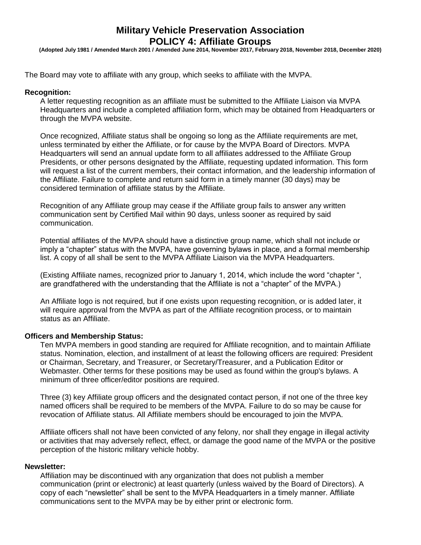# **Military Vehicle Preservation Association POLICY 4: Affiliate Groups**

**(Adopted July 1981 / Amended March 2001 / Amended June 2014, November 2017, February 2018, November 2018, December 2020)**

The Board may vote to affiliate with any group, which seeks to affiliate with the MVPA.

#### **Recognition:**

A letter requesting recognition as an affiliate must be submitted to the Affiliate Liaison via MVPA Headquarters and include a completed affiliation form, which may be obtained from Headquarters or through the MVPA website.

Once recognized, Affiliate status shall be ongoing so long as the Affiliate requirements are met, unless terminated by either the Affiliate, or for cause by the MVPA Board of Directors. MVPA Headquarters will send an annual update form to all affiliates addressed to the Affiliate Group Presidents, or other persons designated by the Affiliate, requesting updated information. This form will request a list of the current members, their contact information, and the leadership information of the Affiliate. Failure to complete and return said form in a timely manner (30 days) may be considered termination of affiliate status by the Affiliate.

Recognition of any Affiliate group may cease if the Affiliate group fails to answer any written communication sent by Certified Mail within 90 days, unless sooner as required by said communication.

Potential affiliates of the MVPA should have a distinctive group name, which shall not include or imply a "chapter" status with the MVPA, have governing bylaws in place, and a formal membership list. A copy of all shall be sent to the MVPA Affiliate Liaison via the MVPA Headquarters.

(Existing Affiliate names, recognized prior to January 1, 2014, which include the word "chapter ", are grandfathered with the understanding that the Affiliate is not a "chapter" of the MVPA.)

An Affiliate logo is not required, but if one exists upon requesting recognition, or is added later, it will require approval from the MVPA as part of the Affiliate recognition process, or to maintain status as an Affiliate.

#### **Officers and Membership Status:**

Ten MVPA members in good standing are required for Affiliate recognition, and to maintain Affiliate status. Nomination, election, and installment of at least the following officers are required: President or Chairman, Secretary, and Treasurer, or Secretary/Treasurer, and a Publication Editor or Webmaster. Other terms for these positions may be used as found within the group's bylaws. A minimum of three officer/editor positions are required.

Three (3) key Affiliate group officers and the designated contact person, if not one of the three key named officers shall be required to be members of the MVPA. Failure to do so may be cause for revocation of Affiliate status. All Affiliate members should be encouraged to join the MVPA.

Affiliate officers shall not have been convicted of any felony, nor shall they engage in illegal activity or activities that may adversely reflect, effect, or damage the good name of the MVPA or the positive perception of the historic military vehicle hobby.

#### **Newsletter:**

Affiliation may be discontinued with any organization that does not publish a member communication (print or electronic) at least quarterly (unless waived by the Board of Directors). A copy of each "newsletter" shall be sent to the MVPA Headquarters in a timely manner. Affiliate communications sent to the MVPA may be by either print or electronic form.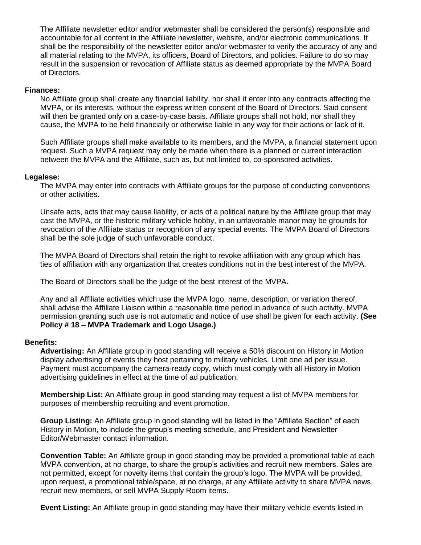The Affiliate newsletter editor and/or webmaster shall be considered the person(s) responsible and accountable for all content in the Affiliate newsletter, website, and/or electronic communications. It shall be the responsibility of the newsletter editor and/or webmaster to verify the accuracy of any and all material relating to the MVPA, its officers, Board of Directors, and policies. Failure to do so may result in the suspension or revocation of Affiliate status as deemed appropriate by the MVPA Board of Directors.

# **Finances:**

No Affiliate group shall create any financial liability, nor shall it enter into any contracts affecting the MVPA, or its interests, without the express written consent of the Board of Directors. Said consent will then be granted only on a case-by-case basis. Affiliate groups shall not hold, nor shall they cause, the MVPA to be held financially or otherwise liable in any way for their actions or lack of it.

Such Affiliate groups shall make available to its members, and the MVPA, a financial statement upon request. Such a MVPA request may only be made when there is a planned or current interaction between the MVPA and the Affiliate, such as, but not limited to, co-sponsored activities.

# **Legalese:**

The MVPA may enter into contracts with Affiliate groups for the purpose of conducting conventions or other activities.

Unsafe acts, acts that may cause liability, or acts of a political nature by the Affiliate group that may cast the MVPA, or the historic military vehicle hobby, in an unfavorable manor may be grounds for revocation of the Affiliate status or recognition of any special events. The MVPA Board of Directors shall be the sole judge of such unfavorable conduct.

The MVPA Board of Directors shall retain the right to revoke affiliation with any group which has ties of affiliation with any organization that creates conditions not in the best interest of the MVPA.

The Board of Directors shall be the judge of the best interest of the MVPA.

Any and all Affiliate activities which use the MVPA logo, name, description, or variation thereof, shall advise the Affiliate Liaison within a reasonable time period in advance of such activity. MVPA permission granting such use is not automatic and notice of use shall be given for each activity. **(See Policy # 18 – MVPA Trademark and Logo Usage.)**

### **Benefits:**

**Advertising:** An Affiliate group in good standing will receive a 50% discount on History in Motion display advertising of events they host pertaining to military vehicles. Limit one ad per issue. Payment must accompany the camera-ready copy, which must comply with all History in Motion advertising guidelines in effect at the time of ad publication.

**Membership List:** An Affiliate group in good standing may request a list of MVPA members for purposes of membership recruiting and event promotion.

**Group Listing:** An Affiliate group in good standing will be listed in the "Affiliate Section" of each History in Motion, to include the group's meeting schedule, and President and Newsletter Editor/Webmaster contact information.

**Convention Table:** An Affiliate group in good standing may be provided a promotional table at each MVPA convention, at no charge, to share the group's activities and recruit new members. Sales are not permitted, except for novelty items that contain the group's logo. The MVPA will be provided, upon request, a promotional table/space, at no charge, at any Affiliate activity to share MVPA news, recruit new members, or sell MVPA Supply Room items.

**Event Listing:** An Affiliate group in good standing may have their military vehicle events listed in